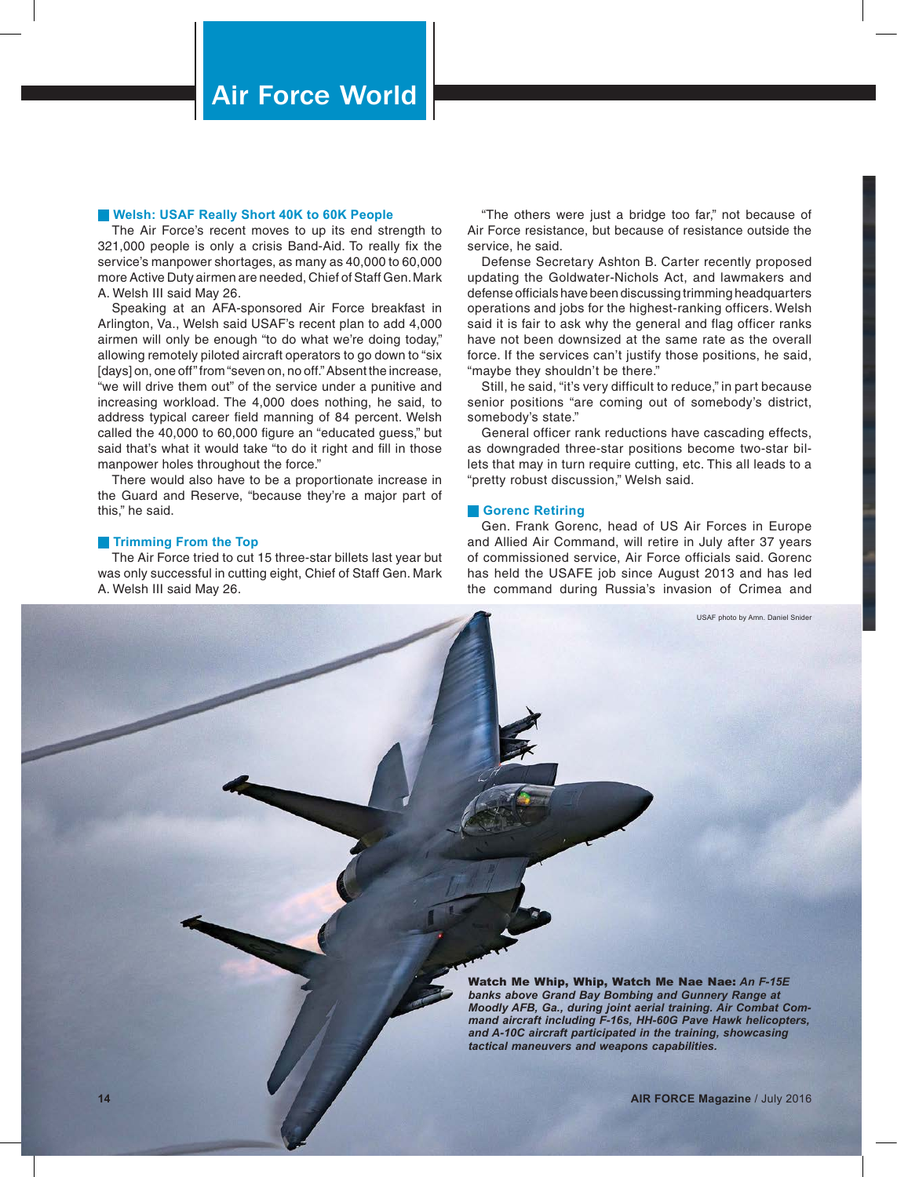### **Welsh: USAF Really Short 40K to 60K People**

The Air Force's recent moves to up its end strength to 321,000 people is only a crisis Band-Aid. To really fix the service's manpower shortages, as many as 40,000 to 60,000 more Active Duty airmen are needed, Chief of Staff Gen. Mark A. Welsh III said May 26.

Speaking at an AFA-sponsored Air Force breakfast in Arlington, Va., Welsh said USAF's recent plan to add 4,000 airmen will only be enough "to do what we're doing today," allowing remotely piloted aircraft operators to go down to "six [days] on, one off" from "seven on, no off." Absent the increase, "we will drive them out" of the service under a punitive and increasing workload. The 4,000 does nothing, he said, to address typical career field manning of 84 percent. Welsh called the 40,000 to 60,000 figure an "educated guess," but said that's what it would take "to do it right and fill in those manpower holes throughout the force."

There would also have to be a proportionate increase in the Guard and Reserve, "because they're a major part of this," he said.

### **Trimming From the Top**

The Air Force tried to cut 15 three-star billets last year but was only successful in cutting eight, Chief of Staff Gen. Mark A. Welsh III said May 26.

"The others were just a bridge too far," not because of Air Force resistance, but because of resistance outside the service, he said.

Defense Secretary Ashton B. Carter recently proposed updating the Goldwater-Nichols Act, and lawmakers and defense officials have been discussing trimming headquarters operations and jobs for the highest-ranking officers. Welsh said it is fair to ask why the general and flag officer ranks have not been downsized at the same rate as the overall force. If the services can't justify those positions, he said, "maybe they shouldn't be there."

Still, he said, "it's very difficult to reduce," in part because senior positions "are coming out of somebody's district, somebody's state."

General officer rank reductions have cascading effects, as downgraded three-star positions become two-star billets that may in turn require cutting, etc. This all leads to a "pretty robust discussion," Welsh said.

### **Gorenc Retiring**

Gen. Frank Gorenc, head of US Air Forces in Europe and Allied Air Command, will retire in July after 37 years of commissioned service, Air Force officials said. Gorenc has held the USAFE job since August 2013 and has led the command during Russia's invasion of Crimea and

USAF photo by Amn. Daniel Snider

Watch Me Whip, Whip, Watch Me Nae Nae: *An F-15E banks above Grand Bay Bombing and Gunnery Range at Moodly AFB, Ga., during joint aerial training. Air Combat Command aircraft including F-16s, HH-60G Pave Hawk helicopters, and A-10C aircraft participated in the training, showcasing tactical maneuvers and weapons capabilities.*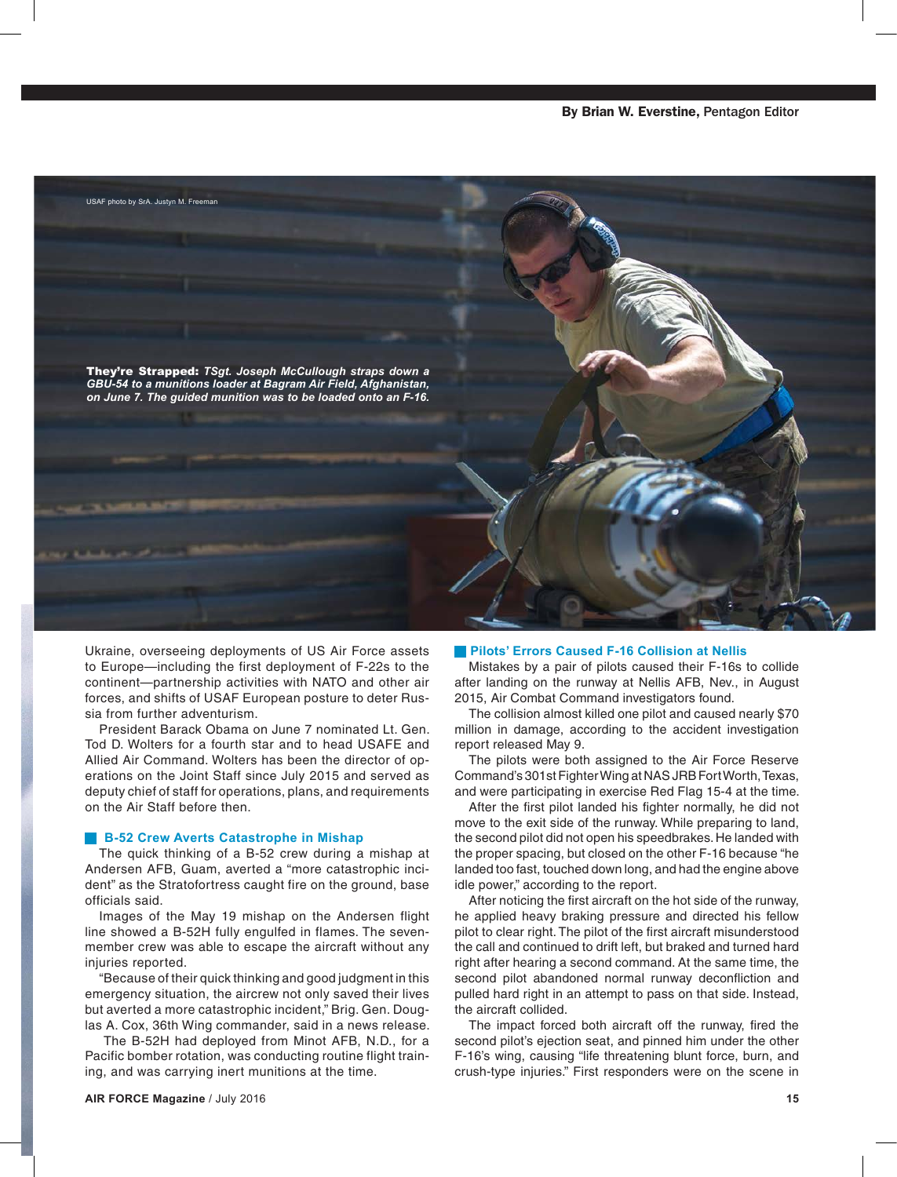

Ukraine, overseeing deployments of US Air Force assets to Europe—including the first deployment of F-22s to the continent—partnership activities with NATO and other air forces, and shifts of USAF European posture to deter Russia from further adventurism.

President Barack Obama on June 7 nominated Lt. Gen. Tod D. Wolters for a fourth star and to head USAFE and Allied Air Command. Wolters has been the director of operations on the Joint Staff since July 2015 and served as deputy chief of staff for operations, plans, and requirements on the Air Staff before then.

#### **B-52 Crew Averts Catastrophe in Mishap**

The quick thinking of a B-52 crew during a mishap at Andersen AFB, Guam, averted a "more catastrophic incident" as the Stratofortress caught fire on the ground, base officials said.

Images of the May 19 mishap on the Andersen flight line showed a B-52H fully engulfed in flames. The sevenmember crew was able to escape the aircraft without any injuries reported.

"Because of their quick thinking and good judgment in this emergency situation, the aircrew not only saved their lives but averted a more catastrophic incident," Brig. Gen. Douglas A. Cox, 36th Wing commander, said in a news release.

 The B-52H had deployed from Minot AFB, N.D., for a Pacific bomber rotation, was conducting routine flight training, and was carrying inert munitions at the time.

### **Pilots' Errors Caused F-16 Collision at Nellis**

Mistakes by a pair of pilots caused their F-16s to collide after landing on the runway at Nellis AFB, Nev., in August 2015, Air Combat Command investigators found.

The collision almost killed one pilot and caused nearly \$70 million in damage, according to the accident investigation report released May 9.

The pilots were both assigned to the Air Force Reserve Command's 301st Fighter Wing at NAS JRB Fort Worth, Texas, and were participating in exercise Red Flag 15-4 at the time.

After the first pilot landed his fighter normally, he did not move to the exit side of the runway. While preparing to land, the second pilot did not open his speedbrakes. He landed with the proper spacing, but closed on the other F-16 because "he landed too fast, touched down long, and had the engine above idle power," according to the report.

After noticing the first aircraft on the hot side of the runway, he applied heavy braking pressure and directed his fellow pilot to clear right. The pilot of the first aircraft misunderstood the call and continued to drift left, but braked and turned hard right after hearing a second command. At the same time, the second pilot abandoned normal runway deconfliction and pulled hard right in an attempt to pass on that side. Instead, the aircraft collided.

The impact forced both aircraft off the runway, fired the second pilot's ejection seat, and pinned him under the other F-16's wing, causing "life threatening blunt force, burn, and crush-type injuries." First responders were on the scene in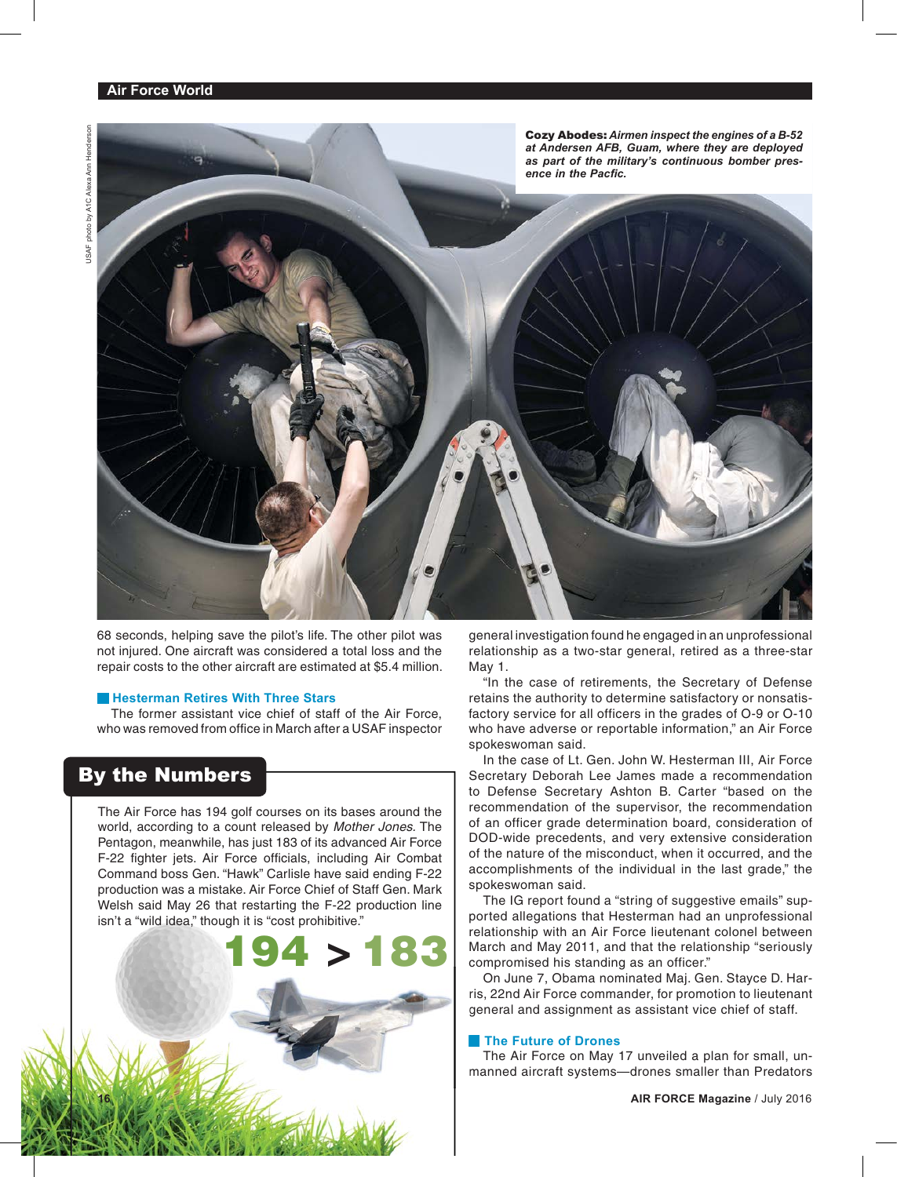Cozy Abodes: *Airmen inspect the engines of a B-52 at Andersen AFB, Guam, where they are deployed as part of the military's continuous bomber pres*ence in the Pacfic.

68 seconds, helping save the pilot's life. The other pilot was not injured. One aircraft was considered a total loss and the repair costs to the other aircraft are estimated at \$5.4 million.

### **Hesterman Retires With Three Stars**

The former assistant vice chief of staff of the Air Force, who was removed from office in March after a USAF inspector

# By the Numbers

The Air Force has 194 golf courses on its bases around the world, according to a count released by *Mother Jones.* The Pentagon, meanwhile, has just 183 of its advanced Air Force F-22 fighter jets. Air Force officials, including Air Combat Command boss Gen. "Hawk" Carlisle have said ending F-22 production was a mistake. Air Force Chief of Staff Gen. Mark Welsh said May 26 that restarting the F-22 production line isn't a "wild idea," though it is "cost prohibitive."



general investigation found he engaged in an unprofessional relationship as a two-star general, retired as a three-star May 1.

"In the case of retirements, the Secretary of Defense retains the authority to determine satisfactory or nonsatisfactory service for all officers in the grades of O-9 or O-10 who have adverse or reportable information," an Air Force spokeswoman said.

In the case of Lt. Gen. John W. Hesterman III, Air Force Secretary Deborah Lee James made a recommendation to Defense Secretary Ashton B. Carter "based on the recommendation of the supervisor, the recommendation of an officer grade determination board, consideration of DOD-wide precedents, and very extensive consideration of the nature of the misconduct, when it occurred, and the accomplishments of the individual in the last grade," the spokeswoman said.

The IG report found a "string of suggestive emails" supported allegations that Hesterman had an unprofessional relationship with an Air Force lieutenant colonel between March and May 2011, and that the relationship "seriously compromised his standing as an officer."

On June 7, Obama nominated Maj. Gen. Stayce D. Harris, 22nd Air Force commander, for promotion to lieutenant general and assignment as assistant vice chief of staff.

### **The Future of Drones**

The Air Force on May 17 unveiled a plan for small, unmanned aircraft systems—drones smaller than Predators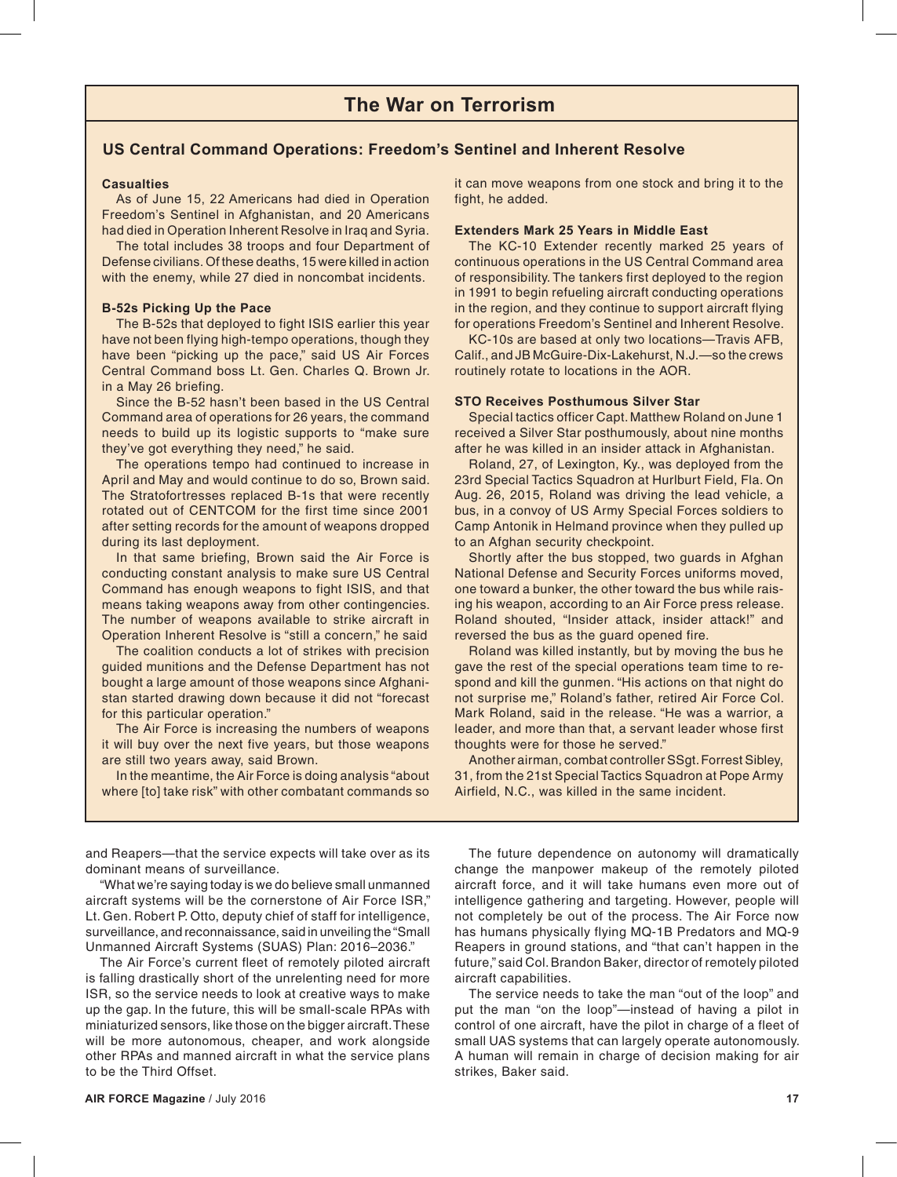## **US Central Command Operations: Freedom's Sentinel and Inherent Resolve**

### **Casualties**

As of June 15, 22 Americans had died in Operation Freedom's Sentinel in Afghanistan, and 20 Americans had died in Operation Inherent Resolve in Iraq and Syria.

The total includes 38 troops and four Department of Defense civilians. Of these deaths, 15 were killed in action with the enemy, while 27 died in noncombat incidents.

### **B-52s Picking Up the Pace**

The B-52s that deployed to fight ISIS earlier this year have not been flying high-tempo operations, though they have been "picking up the pace," said US Air Forces Central Command boss Lt. Gen. Charles Q. Brown Jr. in a May 26 briefing.

Since the B-52 hasn't been based in the US Central Command area of operations for 26 years, the command needs to build up its logistic supports to "make sure they've got everything they need," he said.

The operations tempo had continued to increase in April and May and would continue to do so, Brown said. The Stratofortresses replaced B-1s that were recently rotated out of CENTCOM for the first time since 2001 after setting records for the amount of weapons dropped during its last deployment.

*Pull it Apart, Put it Together: SrA. Clint White, an F-16 main-*means taking weapons away from other contingencies. The number of weapons available to strike aircraft in Operation Inherent Resolve is "still a concern," he said In that same briefing, Brown said the Air Force is conducting constant analysis to make sure US Central Command has enough weapons to fight ISIS, and that

*7 at Bagram Airfield, Afghanistan. Inspectors had been at*  The coalition conducts a lot of strikes with precision *Bagram for more than two more than* the common value of  $\frac{1}{2}$ *tions on aircraft that have reached 400 flying hours.* guided munitions and the Defense Department has not bought a large amount of those weapons since Afghanistan started drawing down because it did not "forecast for this particular operation."

The Air Force is increasing the numbers of weapons it will buy over the next five years, but those weapons are still two years away, said Brown.

In the meantime, the Air Force is doing analysis "about where [to] take risk" with other combatant commands so

it can move weapons from one stock and bring it to the fight, he added.

### **Extenders Mark 25 Years in Middle East**

The KC-10 Extender recently marked 25 years of continuous operations in the US Central Command area of responsibility. The tankers first deployed to the region in 1991 to begin refueling aircraft conducting operations in the region, and they continue to support aircraft flying for operations Freedom's Sentinel and Inherent Resolve.

KC-10s are based at only two locations—Travis AFB, Calif., and JB McGuire-Dix-Lakehurst, N.J.—so the crews routinely rotate to locations in the AOR.

### **STO Receives Posthumous Silver Star**

Special tactics officer Capt. Matthew Roland on June 1 received a Silver Star posthumously, about nine months after he was killed in an insider attack in Afghanistan.

Roland, 27, of Lexington, Ky., was deployed from the 23rd Special Tactics Squadron at Hurlburt Field, Fla. On Aug. 26, 2015, Roland was driving the lead vehicle, a bus, in a convoy of US Army Special Forces soldiers to Camp Antonik in Helmand province when they pulled up to an Afghan security checkpoint.

Shortly after the bus stopped, two guards in Afghan National Defense and Security Forces uniforms moved, one toward a bunker, the other toward the bus while raising his weapon, according to an Air Force press release. Roland shouted, "Insider attack, insider attack!" and reversed the bus as the guard opened fire.

Roland was killed instantly, but by moving the bus he gave the rest of the special operations team time to respond and kill the gunmen. "His actions on that night do not surprise me," Roland's father, retired Air Force Col. Mark Roland, said in the release. "He was a warrior, a leader, and more than that, a servant leader whose first thoughts were for those he served."

Another airman, combat controller SSgt. Forrest Sibley, 31, from the 21st Special Tactics Squadron at Pope Army Airfield, N.C., was killed in the same incident.

and Reapers—that the service expects will take over as its dominant means of surveillance.

"What we're saying today is we do believe small unmanned aircraft systems will be the cornerstone of Air Force ISR," Lt. Gen. Robert P. Otto, deputy chief of staff for intelligence, surveillance, and reconnaissance, said in unveiling the "Small Unmanned Aircraft Systems (SUAS) Plan: 2016–2036."

The Air Force's current fleet of remotely piloted aircraft is falling drastically short of the unrelenting need for more ISR, so the service needs to look at creative ways to make up the gap. In the future, this will be small-scale RPAs with miniaturized sensors, like those on the bigger aircraft. These will be more autonomous, cheaper, and work alongside other RPAs and manned aircraft in what the service plans to be the Third Offset.

The future dependence on autonomy will dramatically change the manpower makeup of the remotely piloted aircraft force, and it will take humans even more out of intelligence gathering and targeting. However, people will not completely be out of the process. The Air Force now has humans physically flying MQ-1B Predators and MQ-9 Reapers in ground stations, and "that can't happen in the future," said Col. Brandon Baker, director of remotely piloted aircraft capabilities.

The service needs to take the man "out of the loop" and put the man "on the loop"—instead of having a pilot in control of one aircraft, have the pilot in charge of a fleet of small UAS systems that can largely operate autonomously. A human will remain in charge of decision making for air strikes, Baker said.